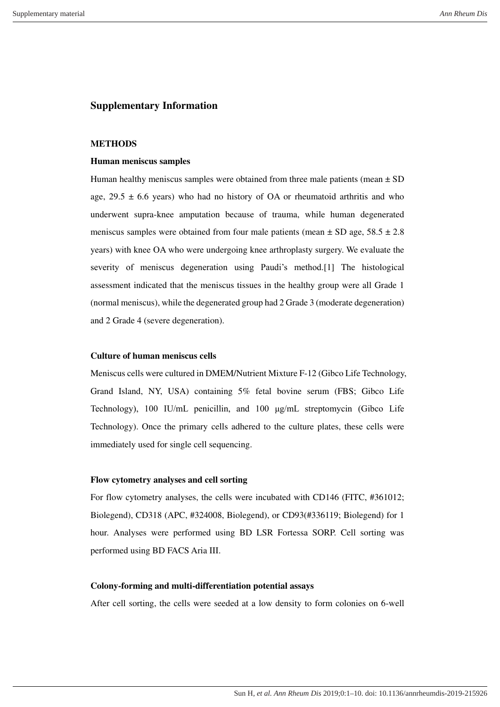# **Supplementary Information**

### **METHODS**

### **Human meniscus samples**

Human healthy meniscus samples were obtained from three male patients (mean  $\pm$  SD age,  $29.5 \pm 6.6$  years) who had no history of OA or rheumatoid arthritis and who underwent supra-knee amputation because of trauma, while human degenerated meniscus samples were obtained from four male patients (mean  $\pm$  SD age, 58.5  $\pm$  2.8 years) with knee OA who were undergoing knee arthroplasty surgery. We evaluate the severity of meniscus degeneration using Paudi's method.[1] The histological assessment indicated that the meniscus tissues in the healthy group were all Grade 1 (normal meniscus), while the degenerated group had 2 Grade 3 (moderate degeneration) and 2 Grade 4 (severe degeneration).

## **Culture of human meniscus cells**

Meniscus cells were cultured in DMEM/Nutrient Mixture F-12 (Gibco Life Technology, Grand Island, NY, USA) containing 5% fetal bovine serum (FBS; Gibco Life Technology), 100 IU/mL penicillin, and 100 μg/mL streptomycin (Gibco Life Technology). Once the primary cells adhered to the culture plates, these cells were immediately used for single cell sequencing.

#### **Flow cytometry analyses and cell sorting**

For flow cytometry analyses, the cells were incubated with CD146 (FITC, #361012; Biolegend), CD318 (APC, #324008, Biolegend), or CD93(#336119; Biolegend) for 1 hour. Analyses were performed using BD LSR Fortessa SORP. Cell sorting was performed using BD FACS Aria III.

## **Colony-forming and multi-differentiation potential assays**

After cell sorting, the cells were seeded at a low density to form colonies on 6-well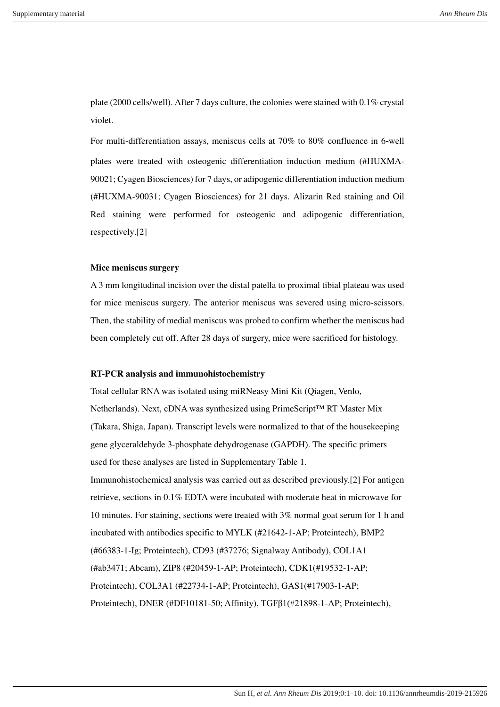plate (2000 cells/well). After 7 days culture, the colonies were stained with 0.1% crystal violet.

For multi-differentiation assays, meniscus cells at 70% to 80% confluence in 6-well plates were treated with osteogenic differentiation induction medium (#HUXMA-90021; Cyagen Biosciences) for 7 days, or adipogenic differentiation induction medium (#HUXMA-90031; Cyagen Biosciences) for 21 days. Alizarin Red staining and Oil Red staining were performed for osteogenic and adipogenic differentiation, respectively.[2]

#### **Mice meniscus surgery**

A 3 mm longitudinal incision over the distal patella to proximal tibial plateau was used for mice meniscus surgery. The anterior meniscus was severed using micro-scissors. Then, the stability of medial meniscus was probed to confirm whether the meniscus had been completely cut off. After 28 days of surgery, mice were sacrificed for histology.

## **RT-PCR analysis and immunohistochemistry**

Total cellular RNA was isolated using miRNeasy Mini Kit (Qiagen, Venlo, Netherlands). Next, cDNA was synthesized using PrimeScript™ RT Master Mix (Takara, Shiga, Japan). Transcript levels were normalized to that of the housekeeping gene glyceraldehyde 3-phosphate dehydrogenase (GAPDH). The specific primers used for these analyses are listed in Supplementary Table 1. Immunohistochemical analysis was carried out as described previously.[2] For antigen retrieve, sections in 0.1% EDTA were incubated with moderate heat in microwave for 10 minutes. For staining, sections were treated with 3% normal goat serum for 1 h and incubated with antibodies specific to MYLK (#21642-1-AP; Proteintech), BMP2 (#66383-1-Ig; Proteintech), CD93 (#37276; Signalway Antibody), COL1A1 (#ab3471; Abcam), ZIP8 (#20459-1-AP; Proteintech), CDK1(#19532-1-AP; Proteintech), COL3A1 (#22734-1-AP; Proteintech), GAS1(#17903-1-AP; Proteintech), DNER (#DF10181-50; Affinity), TGFβ1(#21898-1-AP; Proteintech),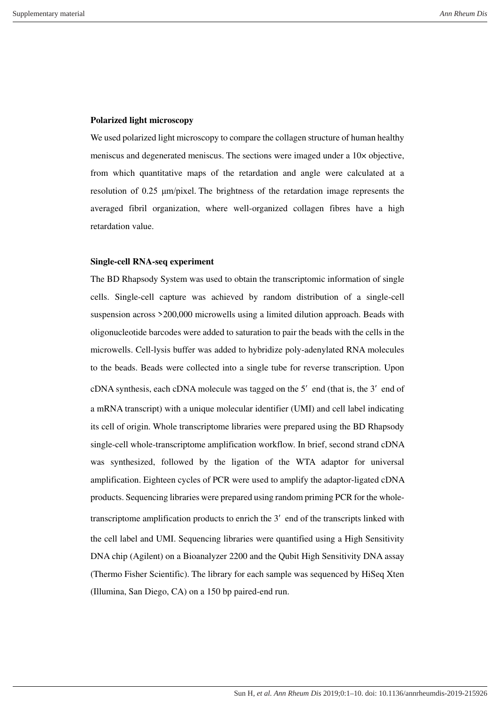### **Polarized light microscopy**

We used polarized light microscopy to compare the collagen structure of human healthy meniscus and degenerated meniscus. The sections were imaged under a 10× objective, from which quantitative maps of the retardation and angle were calculated at a resolution of 0.25 μm/pixel. The brightness of the retardation image represents the averaged fibril organization, where well-organized collagen fibres have a high retardation value.

### **Single-cell RNA-seq experiment**

The BD Rhapsody System was used to obtain the transcriptomic information of single cells. Single-cell capture was achieved by random distribution of a single-cell suspension across >200,000 microwells using a limited dilution approach. Beads with oligonucleotide barcodes were added to saturation to pair the beads with the cells in the microwells. Cell-lysis buffer was added to hybridize poly-adenylated RNA molecules to the beads. Beads were collected into a single tube for reverse transcription. Upon cDNA synthesis, each cDNA molecule was tagged on the 5′ end (that is, the 3′ end of a mRNA transcript) with a unique molecular identifier (UMI) and cell label indicating its cell of origin. Whole transcriptome libraries were prepared using the BD Rhapsody single-cell whole-transcriptome amplification workflow. In brief, second strand cDNA was synthesized, followed by the ligation of the WTA adaptor for universal amplification. Eighteen cycles of PCR were used to amplify the adaptor-ligated cDNA products. Sequencing libraries were prepared using random priming PCR for the wholetranscriptome amplification products to enrich the 3′ end of the transcripts linked with the cell label and UMI. Sequencing libraries were quantified using a High Sensitivity DNA chip (Agilent) on a Bioanalyzer 2200 and the Qubit High Sensitivity DNA assay (Thermo Fisher Scientific). The library for each sample was sequenced by HiSeq Xten (Illumina, San Diego, CA) on a 150 bp paired-end run.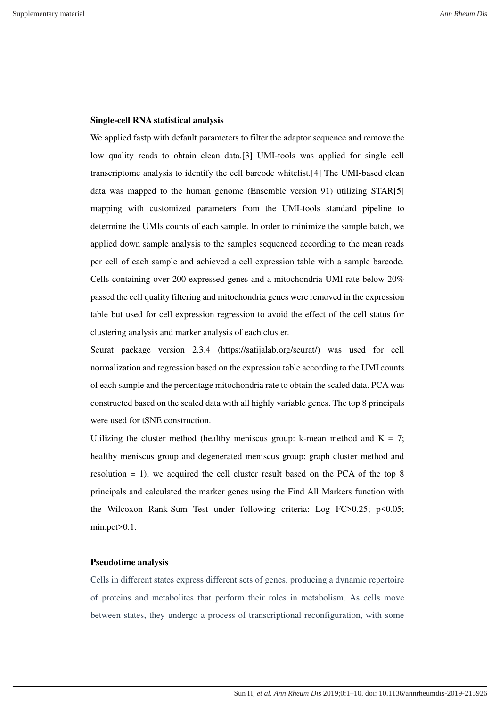#### **Single-cell RNA statistical analysis**

We applied fastp with default parameters to filter the adaptor sequence and remove the low quality reads to obtain clean data.[3] UMI-tools was applied for single cell transcriptome analysis to identify the cell barcode whitelist.[4] The UMI-based clean data was mapped to the human genome (Ensemble version 91) utilizing STAR[5] mapping with customized parameters from the UMI-tools standard pipeline to determine the UMIs counts of each sample. In order to minimize the sample batch, we applied down sample analysis to the samples sequenced according to the mean reads per cell of each sample and achieved a cell expression table with a sample barcode. Cells containing over 200 expressed genes and a mitochondria UMI rate below 20% passed the cell quality filtering and mitochondria genes were removed in the expression table but used for cell expression regression to avoid the effect of the cell status for clustering analysis and marker analysis of each cluster.

Seurat package version 2.3.4 (https://satijalab.org/seurat/) was used for cell normalization and regression based on the expression table according to the UMI counts of each sample and the percentage mitochondria rate to obtain the scaled data. PCA was constructed based on the scaled data with all highly variable genes. The top 8 principals were used for tSNE construction.

Utilizing the cluster method (healthy meniscus group: k-mean method and  $K = 7$ ; healthy meniscus group and degenerated meniscus group: graph cluster method and resolution = 1), we acquired the cell cluster result based on the PCA of the top 8 principals and calculated the marker genes using the Find All Markers function with the Wilcoxon Rank-Sum Test under following criteria: Log FC>0.25; p<0.05; min.pct>0.1.

#### **Pseudotime analysis**

Cells in different states express different sets of genes, producing a dynamic repertoire of proteins and metabolites that perform their roles in metabolism. As cells move between states, they undergo a process of transcriptional reconfiguration, with some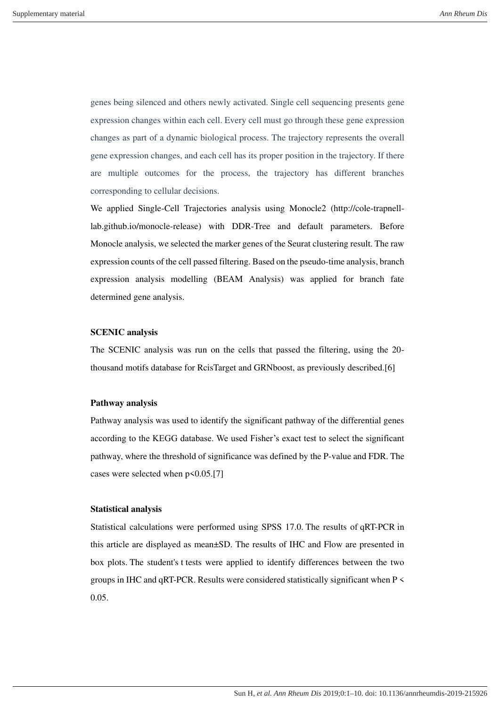genes being silenced and others newly activated. Single cell sequencing presents gene expression changes within each cell. Every cell must go through these gene expression changes as part of a dynamic biological process. The trajectory represents the overall gene expression changes, and each cell has its proper position in the trajectory. If there are multiple outcomes for the process, the trajectory has different branches corresponding to cellular decisions.

We applied Single-Cell Trajectories analysis using Monocle2 (http://cole-trapnelllab.github.io/monocle-release) with DDR-Tree and default parameters. Before Monocle analysis, we selected the marker genes of the Seurat clustering result. The raw expression counts of the cell passed filtering. Based on the pseudo-time analysis, branch expression analysis modelling (BEAM Analysis) was applied for branch fate determined gene analysis.

## **SCENIC analysis**

The SCENIC analysis was run on the cells that passed the filtering, using the 20 thousand motifs database for RcisTarget and GRNboost, as previously described.[6]

## **Pathway analysis**

Pathway analysis was used to identify the significant pathway of the differential genes according to the KEGG database. We used Fisher's exact test to select the significant pathway, where the threshold of significance was defined by the P-value and FDR. The cases were selected when  $p \le 0.05$ .[7]

## **Statistical analysis**

Statistical calculations were performed using SPSS 17.0. The results of qRT-PCR in this article are displayed as mean±SD. The results of IHC and Flow are presented in box plots. The student's t tests were applied to identify differences between the two groups in IHC and qRT-PCR. Results were considered statistically significant when P < 0.05.